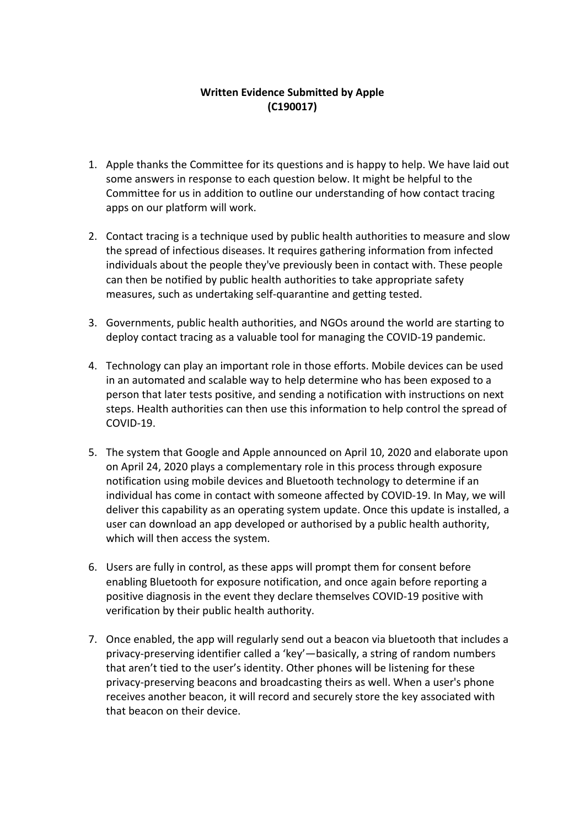## **Written Evidence Submitted by Apple (C190017)**

- 1. Apple thanks the Committee for its questions and is happy to help. We have laid out some answers in response to each question below. It might be helpful to the Committee for us in addition to outline our understanding of how contact tracing apps on our platform will work.
- 2. Contact tracing is a technique used by public health authorities to measure and slow the spread of infectious diseases. It requires gathering information from infected individuals about the people they've previously been in contact with. These people can then be notified by public health authorities to take appropriate safety measures, such as undertaking self-quarantine and getting tested.
- 3. Governments, public health authorities, and NGOs around the world are starting to deploy contact tracing as a valuable tool for managing the COVID-19 pandemic.
- 4. Technology can play an important role in those efforts. Mobile devices can be used in an automated and scalable way to help determine who has been exposed to a person that later tests positive, and sending a notification with instructions on next steps. Health authorities can then use this information to help control the spread of COVID-19.
- 5. The system that Google and Apple announced on April 10, 2020 and elaborate upon on April 24, 2020 plays a complementary role in this process through exposure notification using mobile devices and Bluetooth technology to determine if an individual has come in contact with someone affected by COVID-19. In May, we will deliver this capability as an operating system update. Once this update is installed, a user can download an app developed or authorised by a public health authority, which will then access the system.
- 6. Users are fully in control, as these apps will prompt them for consent before enabling Bluetooth for exposure notification, and once again before reporting a positive diagnosis in the event they declare themselves COVID-19 positive with verification by their public health authority.
- 7. Once enabled, the app will regularly send out a beacon via bluetooth that includes a privacy-preserving identifier called a 'key'—basically, a string of random numbers that aren't tied to the user's identity. Other phones will be listening for these privacy-preserving beacons and broadcasting theirs as well. When a user's phone receives another beacon, it will record and securely store the key associated with that beacon on their device.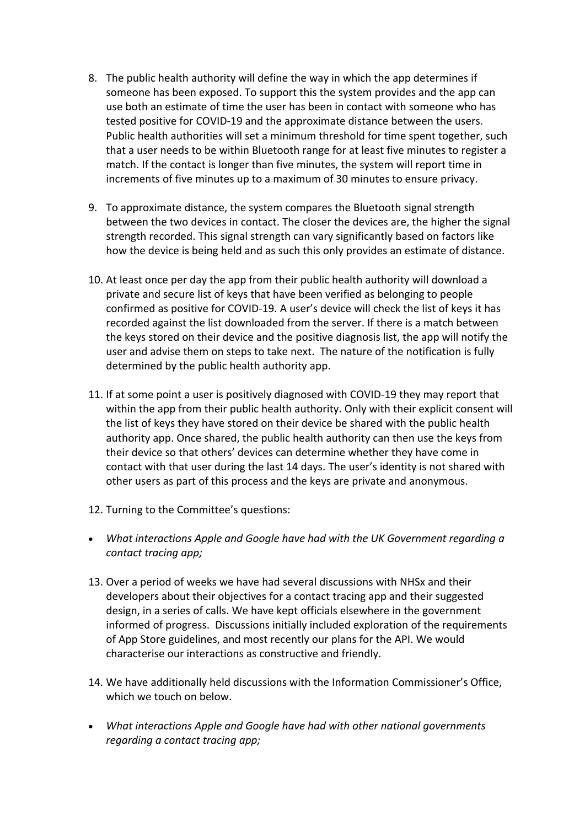- 8. The public health authority will define the way in which the app determines if someone has been exposed. To support this the system provides and the app can use both an estimate of time the user has been in contact with someone who has tested positive for COVID-19 and the approximate distance between the users. Public health authorities will set a minimum threshold for time spent together, such that a user needs to be within Bluetooth range for at least five minutes to register a match. If the contact is longer than five minutes, the system will report time in increments of five minutes up to a maximum of 30 minutes to ensure privacy.
- 9. To approximate distance, the system compares the Bluetooth signal strength between the two devices in contact. The closer the devices are, the higher the signal strength recorded. This signal strength can vary significantly based on factors like how the device is being held and as such this only provides an estimate of distance.
- 10. At least once per day the app from their public health authority will download a private and secure list of keys that have been verified as belonging to people confirmed as positive for COVID-19. A user's device will check the list of keys it has recorded against the list downloaded from the server. If there is a match between the keys stored on their device and the positive diagnosis list, the app will notify the user and advise them on steps to take next. The nature of the notification is fully determined by the public health authority app.
- 11. If at some point a user is positively diagnosed with COVID-19 they may report that within the app from their public health authority. Only with their explicit consent will the list of keys they have stored on their device be shared with the public health authority app. Once shared, the public health authority can then use the keys from their device so that others' devices can determine whether they have come in contact with that user during the last 14 days. The user's identity is not shared with other users as part of this process and the keys are private and anonymous.
- 12. Turning to the Committee's questions:
- *What interactions Apple and Google have had with the UK Government regarding a contact tracing app;*
- 13. Over a period of weeks we have had several discussions with NHSx and their developers about their objectives for a contact tracing app and their suggested design, in a series of calls. We have kept officials elsewhere in the government informed of progress. Discussions initially included exploration of the requirements of App Store guidelines, and most recently our plans for the API. We would characterise our interactions as constructive and friendly.
- 14. We have additionally held discussions with the Information Commissioner's Office, which we touch on below.
- *What interactions Apple and Google have had with other national governments regarding a contact tracing app;*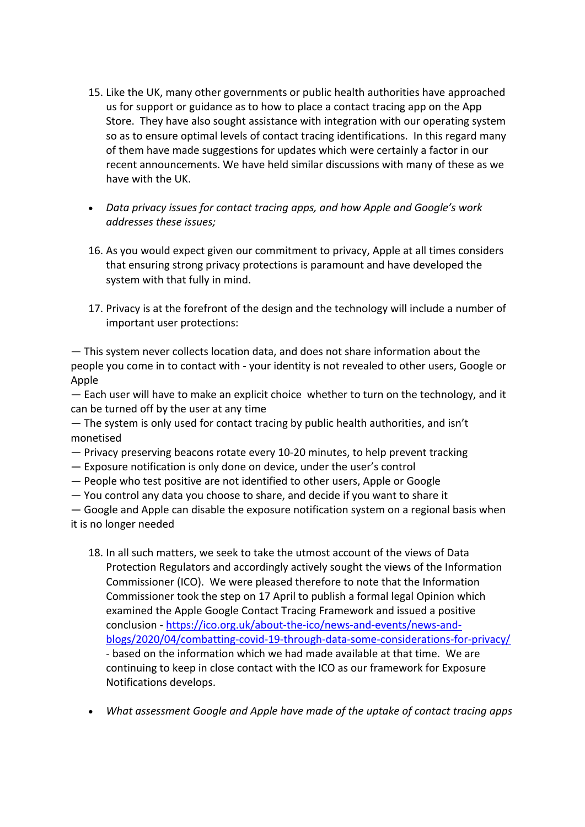- 15. Like the UK, many other governments or public health authorities have approached us for support or guidance as to how to place a contact tracing app on the App Store. They have also sought assistance with integration with our operating system so as to ensure optimal levels of contact tracing identifications. In this regard many of them have made suggestions for updates which were certainly a factor in our recent announcements. We have held similar discussions with many of these as we have with the UK.
- *Data privacy issues for contact tracing apps, and how Apple and Google's work addresses these issues;*
- 16. As you would expect given our commitment to privacy, Apple at all times considers that ensuring strong privacy protections is paramount and have developed the system with that fully in mind.
- 17. Privacy is at the forefront of the design and the technology will include a number of important user protections:

— This system never collects location data, and does not share information about the people you come in to contact with - your identity is not revealed to other users, Google or Apple

— Each user will have to make an explicit choice whether to turn on the technology, and it can be turned off by the user at any time

— The system is only used for contact tracing by public health authorities, and isn't monetised

- Privacy preserving beacons rotate every 10-20 minutes, to help prevent tracking
- Exposure notification is only done on device, under the user's control
- People who test positive are not identified to other users, Apple or Google
- You control any data you choose to share, and decide if you want to share it

— Google and Apple can disable the exposure notification system on a regional basis when it is no longer needed

- 18. In all such matters, we seek to take the utmost account of the views of Data Protection Regulators and accordingly actively sought the views of the Information Commissioner (ICO). We were pleased therefore to note that the Information Commissioner took the step on 17 April to publish a formal legal Opinion which examined the Apple Google Contact Tracing Framework and issued a positive conclusion - [https://ico.org.uk/about-the-ico/news-and-events/news-and](https://ico.org.uk/about-the-ico/news-and-events/news-and-blogs/2020/04/combatting-covid-19-through-data-some-considerations-for-privacy/)[blogs/2020/04/combatting-covid-19-through-data-some-considerations-for-privacy/](https://ico.org.uk/about-the-ico/news-and-events/news-and-blogs/2020/04/combatting-covid-19-through-data-some-considerations-for-privacy/) - based on the information which we had made available at that time. We are continuing to keep in close contact with the ICO as our framework for Exposure Notifications develops.
- *What assessment Google and Apple have made of the uptake of contact tracing apps*